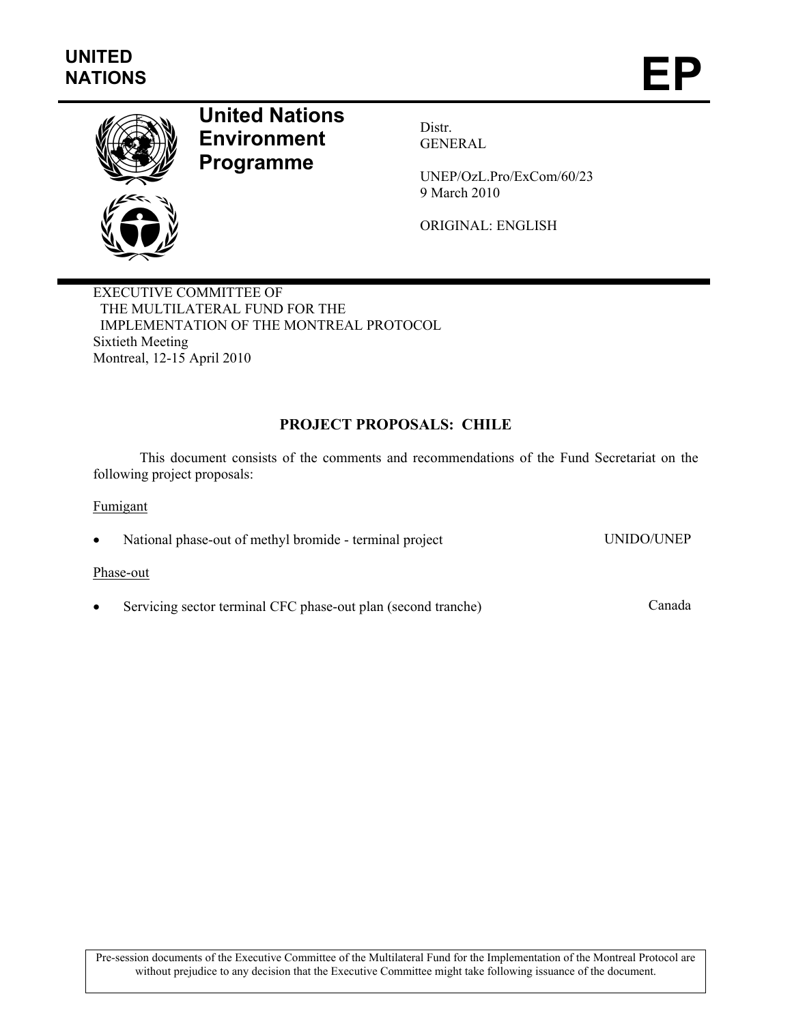

# **United Nations Environment Programme**

Distr. GENERAL

UNEP/OzL.Pro/ExCom/60/23 9 March 2010

ORIGINAL: ENGLISH

EXECUTIVE COMMITTEE OF THE MULTILATERAL FUND FOR THE IMPLEMENTATION OF THE MONTREAL PROTOCOL Sixtieth Meeting Montreal, 12-15 April 2010

# **PROJECT PROPOSALS: CHILE**

This document consists of the comments and recommendations of the Fund Secretariat on the following project proposals:

Fumigant

• National phase-out of methyl bromide - terminal project UNIDO/UNEP

#### Phase-out

• Servicing sector terminal CFC phase-out plan (second tranche) Canada

Pre-session documents of the Executive Committee of the Multilateral Fund for the Implementation of the Montreal Protocol are without prejudice to any decision that the Executive Committee might take following issuance of the document.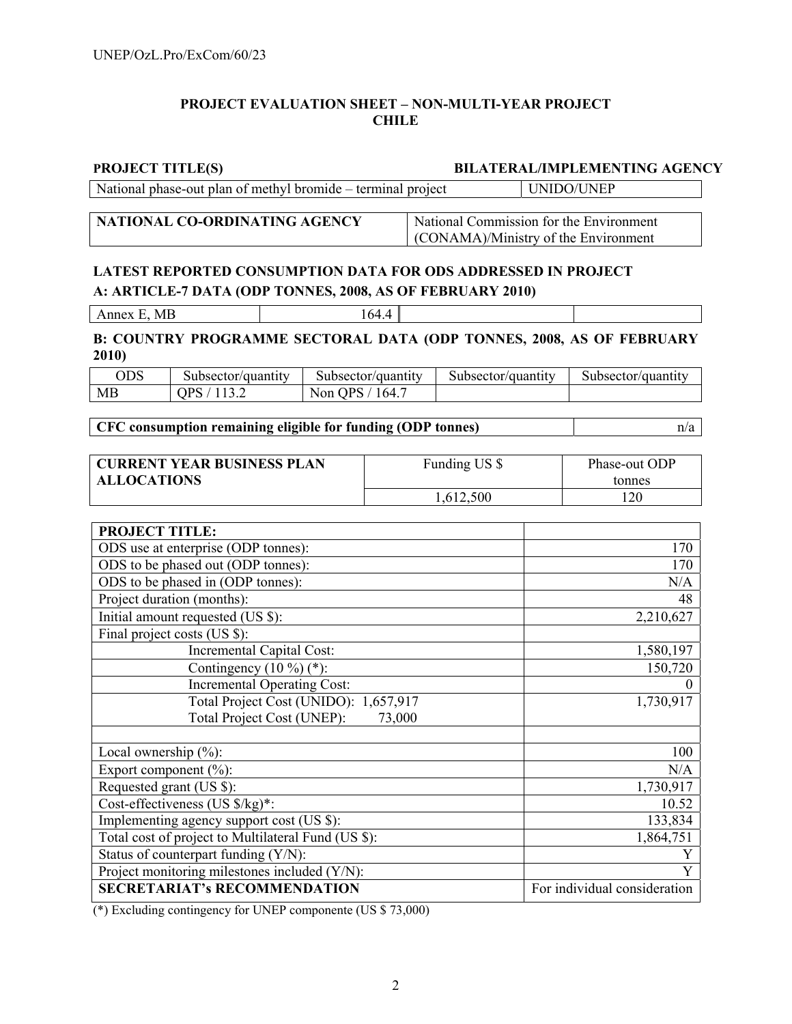# **PROJECT EVALUATION SHEET – NON-MULTI-YEAR PROJECT CHILE**

#### **PROJECT TITLE(S) BILATERAL/IMPLEMENTING AGENCY**

National phase-out plan of methyl bromide – terminal project UNIDO/UNEP

**NATIONAL CO-ORDINATING AGENCY** National Commission for the Environment (CONAMA)/Ministry of the Environment

# **LATEST REPORTED CONSUMPTION DATA FOR ODS ADDRESSED IN PROJECT A: ARTICLE-7 DATA (ODP TONNES, 2008, AS OF FEBRUARY 2010)**

Annex E, MB 164.4

### **B: COUNTRY PROGRAMME SECTORAL DATA (ODP TONNES, 2008, AS OF FEBRUARY 2010)**

| $_{\rm ODS}$ | Subsector/quantity | Subsector/quantity  | Subsector/<br>/quantity | Subsector/quantity |
|--------------|--------------------|---------------------|-------------------------|--------------------|
| МE           | ∩D¢                | '64.<br>IPS.<br>Non |                         |                    |

# **CFC consumption remaining eligible for funding (ODP tonnes)** n/a

| <b>CURRENT YEAR BUSINESS PLAN</b> | Funding US \$ | Phase-out ODP |
|-----------------------------------|---------------|---------------|
| <b>ALLOCATIONS</b>                |               | tonnes        |
|                                   | .612,500      | 120           |

| <b>PROJECT TITLE:</b>                               |                              |
|-----------------------------------------------------|------------------------------|
| ODS use at enterprise (ODP tonnes):                 | 170                          |
| ODS to be phased out (ODP tonnes):                  | 170                          |
| ODS to be phased in (ODP tonnes):                   | N/A                          |
| Project duration (months):                          | 48                           |
| Initial amount requested (US \$):                   | 2,210,627                    |
| Final project costs (US \$):                        |                              |
| <b>Incremental Capital Cost:</b>                    | 1,580,197                    |
| Contingency $(10\%)$ (*):                           | 150,720                      |
| <b>Incremental Operating Cost:</b>                  |                              |
| Total Project Cost (UNIDO): 1,657,917               | 1,730,917                    |
| Total Project Cost (UNEP):<br>73,000                |                              |
|                                                     |                              |
| Local ownership $(\%)$ :                            | 100                          |
| Export component $(\% )$ :                          | N/A                          |
| Requested grant (US \$):                            | 1,730,917                    |
| Cost-effectiveness (US \$/kg)*:                     | 10.52                        |
| Implementing agency support cost (US \$):           | 133,834                      |
| Total cost of project to Multilateral Fund (US \$): | $\overline{1,864,751}$       |
| Status of counterpart funding (Y/N):                | Y                            |
| Project monitoring milestones included (Y/N):       | Y                            |
| <b>SECRETARIAT's RECOMMENDATION</b>                 | For individual consideration |

(\*) Excluding contingency for UNEP componente (US \$ 73,000)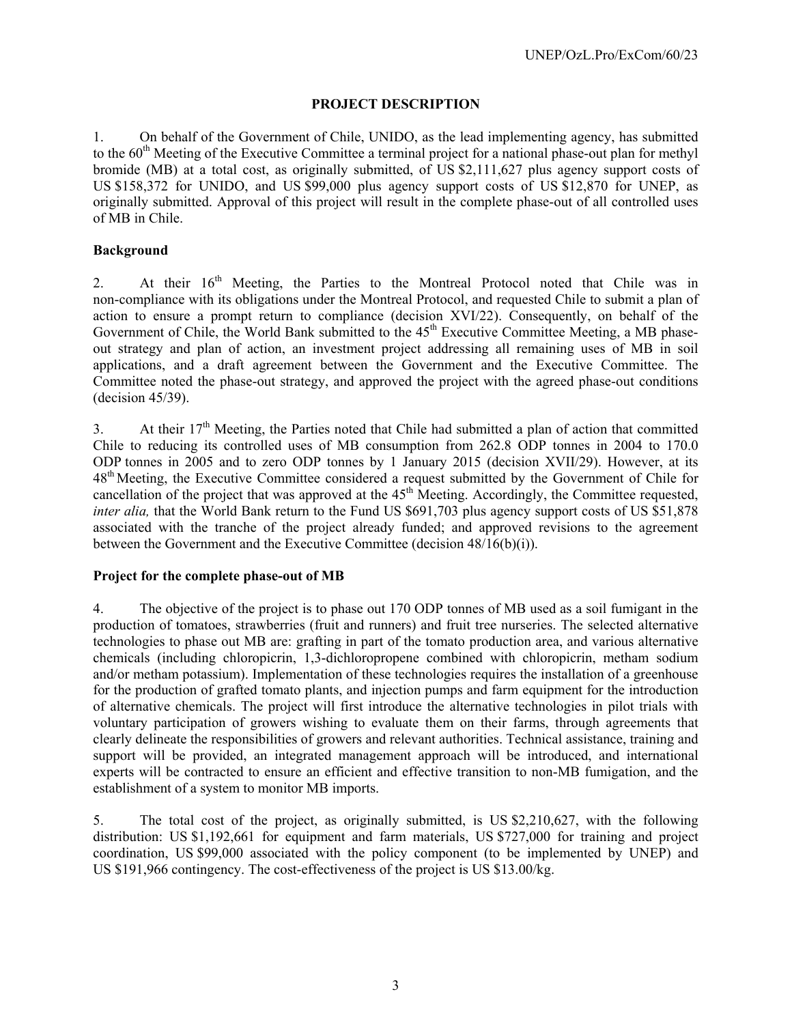# **PROJECT DESCRIPTION**

1. On behalf of the Government of Chile, UNIDO, as the lead implementing agency, has submitted to the  $60<sup>th</sup>$  Meeting of the Executive Committee a terminal project for a national phase-out plan for methyl bromide (MB) at a total cost, as originally submitted, of US \$2,111,627 plus agency support costs of US \$158,372 for UNIDO, and US \$99,000 plus agency support costs of US \$12,870 for UNEP, as originally submitted. Approval of this project will result in the complete phase-out of all controlled uses of MB in Chile.

# **Background**

2. At their  $16<sup>th</sup>$  Meeting, the Parties to the Montreal Protocol noted that Chile was in non-compliance with its obligations under the Montreal Protocol, and requested Chile to submit a plan of action to ensure a prompt return to compliance (decision XVI/22). Consequently, on behalf of the Government of Chile, the World Bank submitted to the 45<sup>th</sup> Executive Committee Meeting, a MB phaseout strategy and plan of action, an investment project addressing all remaining uses of MB in soil applications, and a draft agreement between the Government and the Executive Committee. The Committee noted the phase-out strategy, and approved the project with the agreed phase-out conditions (decision 45/39).

3. At their  $17<sup>th</sup>$  Meeting, the Parties noted that Chile had submitted a plan of action that committed Chile to reducing its controlled uses of MB consumption from 262.8 ODP tonnes in 2004 to 170.0 ODP tonnes in 2005 and to zero ODP tonnes by 1 January 2015 (decision XVII/29). However, at its 48<sup>th</sup> Meeting, the Executive Committee considered a request submitted by the Government of Chile for cancellation of the project that was approved at the  $45<sup>th</sup>$  Meeting. Accordingly, the Committee requested, *inter alia,* that the World Bank return to the Fund US \$691,703 plus agency support costs of US \$51,878 associated with the tranche of the project already funded; and approved revisions to the agreement between the Government and the Executive Committee (decision 48/16(b)(i)).

# **Project for the complete phase-out of MB**

4. The objective of the project is to phase out 170 ODP tonnes of MB used as a soil fumigant in the production of tomatoes, strawberries (fruit and runners) and fruit tree nurseries. The selected alternative technologies to phase out MB are: grafting in part of the tomato production area, and various alternative chemicals (including chloropicrin, 1,3-dichloropropene combined with chloropicrin, metham sodium and/or metham potassium). Implementation of these technologies requires the installation of a greenhouse for the production of grafted tomato plants, and injection pumps and farm equipment for the introduction of alternative chemicals. The project will first introduce the alternative technologies in pilot trials with voluntary participation of growers wishing to evaluate them on their farms, through agreements that clearly delineate the responsibilities of growers and relevant authorities. Technical assistance, training and support will be provided, an integrated management approach will be introduced, and international experts will be contracted to ensure an efficient and effective transition to non-MB fumigation, and the establishment of a system to monitor MB imports.

5. The total cost of the project, as originally submitted, is US \$2,210,627, with the following distribution: US \$1,192,661 for equipment and farm materials, US \$727,000 for training and project coordination, US \$99,000 associated with the policy component (to be implemented by UNEP) and US \$191,966 contingency. The cost-effectiveness of the project is US \$13.00/kg.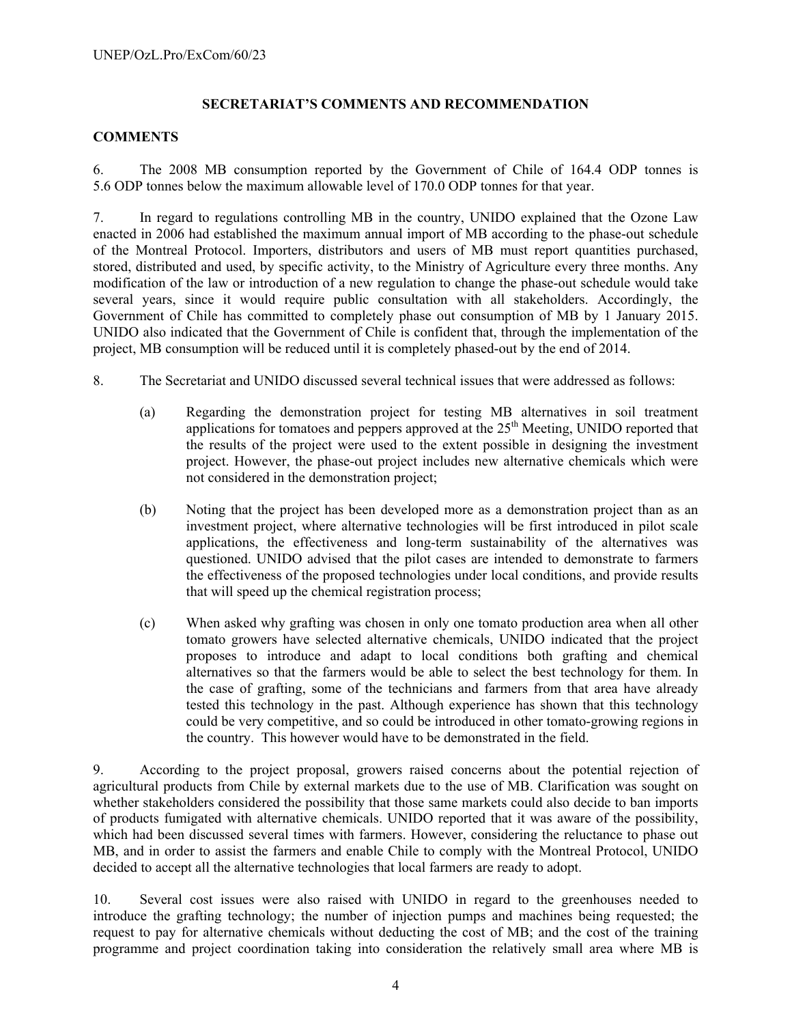# **SECRETARIAT'S COMMENTS AND RECOMMENDATION**

### **COMMENTS**

6. The 2008 MB consumption reported by the Government of Chile of 164.4 ODP tonnes is 5.6 ODP tonnes below the maximum allowable level of 170.0 ODP tonnes for that year.

7. In regard to regulations controlling MB in the country, UNIDO explained that the Ozone Law enacted in 2006 had established the maximum annual import of MB according to the phase-out schedule of the Montreal Protocol. Importers, distributors and users of MB must report quantities purchased, stored, distributed and used, by specific activity, to the Ministry of Agriculture every three months. Any modification of the law or introduction of a new regulation to change the phase-out schedule would take several years, since it would require public consultation with all stakeholders. Accordingly, the Government of Chile has committed to completely phase out consumption of MB by 1 January 2015. UNIDO also indicated that the Government of Chile is confident that, through the implementation of the project, MB consumption will be reduced until it is completely phased-out by the end of 2014.

- 8. The Secretariat and UNIDO discussed several technical issues that were addressed as follows:
	- (a) Regarding the demonstration project for testing MB alternatives in soil treatment applications for tomatoes and peppers approved at the  $25<sup>th</sup>$  Meeting, UNIDO reported that the results of the project were used to the extent possible in designing the investment project. However, the phase-out project includes new alternative chemicals which were not considered in the demonstration project;
	- (b) Noting that the project has been developed more as a demonstration project than as an investment project, where alternative technologies will be first introduced in pilot scale applications, the effectiveness and long-term sustainability of the alternatives was questioned. UNIDO advised that the pilot cases are intended to demonstrate to farmers the effectiveness of the proposed technologies under local conditions, and provide results that will speed up the chemical registration process;
	- (c) When asked why grafting was chosen in only one tomato production area when all other tomato growers have selected alternative chemicals, UNIDO indicated that the project proposes to introduce and adapt to local conditions both grafting and chemical alternatives so that the farmers would be able to select the best technology for them. In the case of grafting, some of the technicians and farmers from that area have already tested this technology in the past. Although experience has shown that this technology could be very competitive, and so could be introduced in other tomato-growing regions in the country. This however would have to be demonstrated in the field.

9. According to the project proposal, growers raised concerns about the potential rejection of agricultural products from Chile by external markets due to the use of MB. Clarification was sought on whether stakeholders considered the possibility that those same markets could also decide to ban imports of products fumigated with alternative chemicals. UNIDO reported that it was aware of the possibility, which had been discussed several times with farmers. However, considering the reluctance to phase out MB, and in order to assist the farmers and enable Chile to comply with the Montreal Protocol, UNIDO decided to accept all the alternative technologies that local farmers are ready to adopt.

10. Several cost issues were also raised with UNIDO in regard to the greenhouses needed to introduce the grafting technology; the number of injection pumps and machines being requested; the request to pay for alternative chemicals without deducting the cost of MB; and the cost of the training programme and project coordination taking into consideration the relatively small area where MB is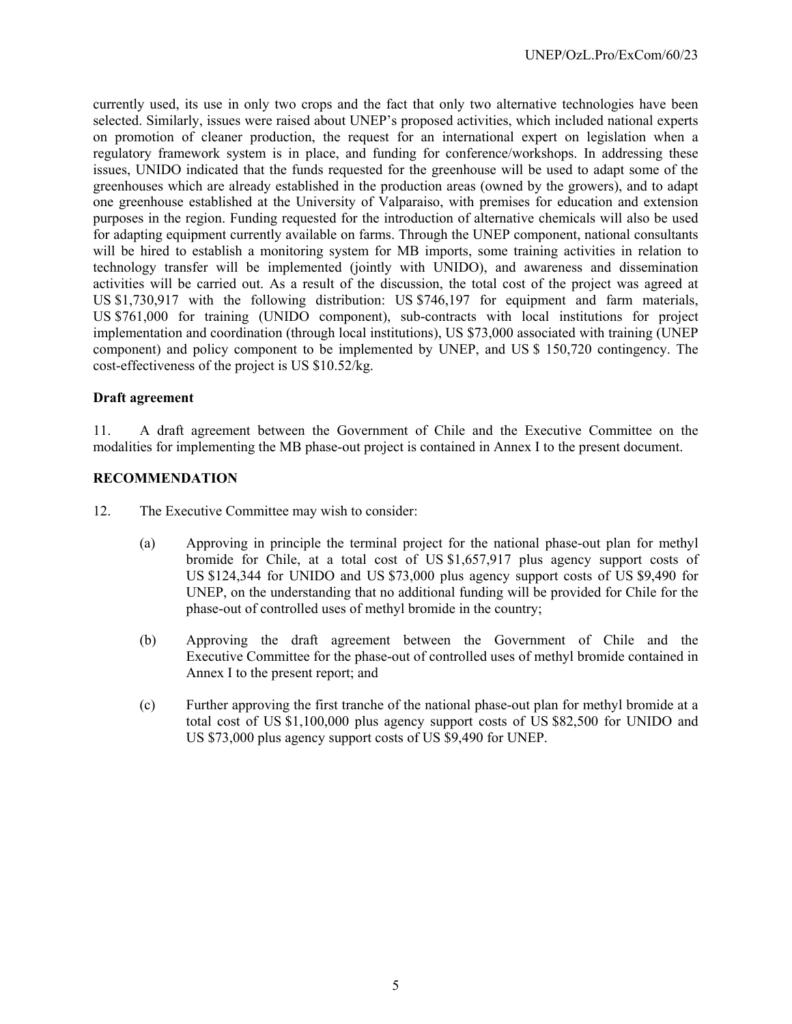currently used, its use in only two crops and the fact that only two alternative technologies have been selected. Similarly, issues were raised about UNEP's proposed activities, which included national experts on promotion of cleaner production, the request for an international expert on legislation when a regulatory framework system is in place, and funding for conference/workshops. In addressing these issues, UNIDO indicated that the funds requested for the greenhouse will be used to adapt some of the greenhouses which are already established in the production areas (owned by the growers), and to adapt one greenhouse established at the University of Valparaiso, with premises for education and extension purposes in the region. Funding requested for the introduction of alternative chemicals will also be used for adapting equipment currently available on farms. Through the UNEP component, national consultants will be hired to establish a monitoring system for MB imports, some training activities in relation to technology transfer will be implemented (jointly with UNIDO), and awareness and dissemination activities will be carried out. As a result of the discussion, the total cost of the project was agreed at US \$1,730,917 with the following distribution: US \$746,197 for equipment and farm materials, US \$761,000 for training (UNIDO component), sub-contracts with local institutions for project implementation and coordination (through local institutions), US \$73,000 associated with training (UNEP component) and policy component to be implemented by UNEP, and US \$ 150,720 contingency. The cost-effectiveness of the project is US \$10.52/kg.

### **Draft agreement**

11. A draft agreement between the Government of Chile and the Executive Committee on the modalities for implementing the MB phase-out project is contained in Annex I to the present document.

#### **RECOMMENDATION**

- 12. The Executive Committee may wish to consider:
	- (a) Approving in principle the terminal project for the national phase-out plan for methyl bromide for Chile, at a total cost of US \$1,657,917 plus agency support costs of US \$124,344 for UNIDO and US \$73,000 plus agency support costs of US \$9,490 for UNEP, on the understanding that no additional funding will be provided for Chile for the phase-out of controlled uses of methyl bromide in the country;
	- (b) Approving the draft agreement between the Government of Chile and the Executive Committee for the phase-out of controlled uses of methyl bromide contained in Annex I to the present report; and
	- (c) Further approving the first tranche of the national phase-out plan for methyl bromide at a total cost of US \$1,100,000 plus agency support costs of US \$82,500 for UNIDO and US \$73,000 plus agency support costs of US \$9,490 for UNEP.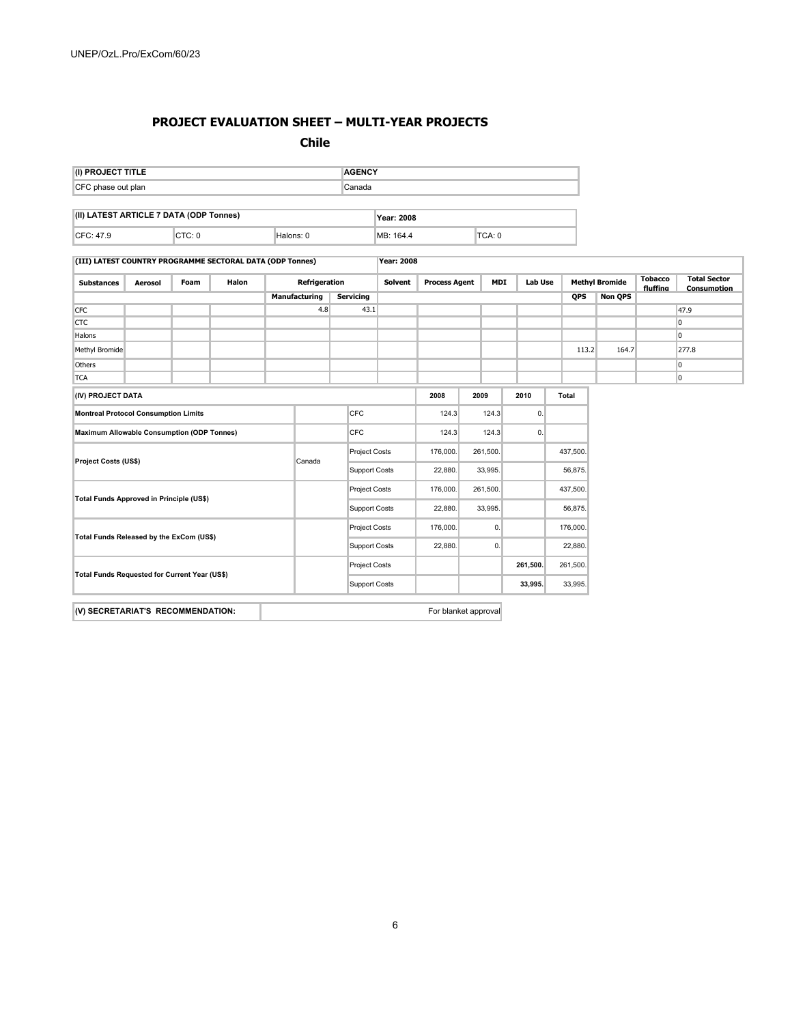### **PROJECT EVALUATION SHEET – MULTI-YEAR PROJECTS**

#### **Chile**

| (I) PROJECT TITLE                             |                |             |                                                           |                      |                      | <b>AGENCY</b>    |                      |                      |          |                      |                |         |                       |                            |                                           |
|-----------------------------------------------|----------------|-------------|-----------------------------------------------------------|----------------------|----------------------|------------------|----------------------|----------------------|----------|----------------------|----------------|---------|-----------------------|----------------------------|-------------------------------------------|
| Canada<br>CFC phase out plan                  |                |             |                                                           |                      |                      |                  |                      |                      |          |                      |                |         |                       |                            |                                           |
| (II) LATEST ARTICLE 7 DATA (ODP Tonnes)       |                |             |                                                           |                      |                      |                  | Year: 2008           |                      |          |                      |                |         |                       |                            |                                           |
| CFC: 47.9                                     |                | CTC: 0      |                                                           |                      | Halons: 0            |                  | MB: 164.4            |                      |          | TCA: 0               |                |         |                       |                            |                                           |
|                                               |                |             | (III) LATEST COUNTRY PROGRAMME SECTORAL DATA (ODP Tonnes) |                      |                      |                  | <b>Year: 2008</b>    |                      |          |                      |                |         |                       |                            |                                           |
| <b>Substances</b>                             | <b>Aerosol</b> | <b>Foam</b> | <b>Halon</b>                                              |                      | Refrigeration        |                  | Solvent              | <b>Process Agent</b> |          | <b>MDI</b>           | <b>Lab Use</b> |         | <b>Methyl Bromide</b> | <b>Tobacco</b><br>fluffing | <b>Total Sector</b><br><b>Consumption</b> |
|                                               |                |             |                                                           |                      | <b>Manufacturing</b> | <b>Servicing</b> |                      |                      |          |                      |                | QPS     | <b>Non QPS</b>        |                            |                                           |
| <b>CFC</b>                                    |                |             |                                                           |                      | 4.8                  |                  | 43.1                 |                      |          |                      |                |         |                       |                            | 47.9                                      |
| <b>CTC</b>                                    |                |             |                                                           |                      |                      |                  |                      |                      |          |                      |                |         |                       |                            | <b>O</b>                                  |
| Halons                                        |                |             |                                                           |                      |                      |                  |                      |                      |          |                      |                |         |                       |                            | $\overline{0}$                            |
| Methyl Bromide                                |                |             |                                                           |                      |                      |                  |                      |                      |          |                      |                | 113.2   | 164.7                 |                            | 277.8                                     |
| Others                                        |                |             |                                                           |                      |                      |                  |                      |                      |          |                      |                |         |                       |                            | $\overline{0}$                            |
| <b>TCA</b>                                    |                |             |                                                           |                      |                      |                  |                      |                      |          |                      |                |         |                       |                            | $\overline{0}$                            |
| (IV) PROJECT DATA                             |                |             |                                                           |                      |                      |                  |                      | 2008                 |          | 2009                 | 2010           | Total   |                       |                            |                                           |
| <b>Montreal Protocol Consumption Limits</b>   |                |             |                                                           |                      |                      | <b>CFC</b>       |                      | 124.3                |          | 124.3                | 0.             |         |                       |                            |                                           |
| Maximum Allowable Consumption (ODP Tonnes)    |                |             |                                                           |                      |                      | <b>CFC</b>       |                      | 124.3                |          | 124.3                | 0.             |         |                       |                            |                                           |
|                                               |                |             | <b>Project Costs</b><br>Canada                            |                      |                      | 176,000.         |                      | 261,500.             |          | 437,500.             |                |         |                       |                            |                                           |
| <b>Project Costs (US\$)</b>                   |                |             |                                                           |                      |                      |                  | <b>Support Costs</b> | 22,880.              |          | 33,995.              |                | 56,875. |                       |                            |                                           |
|                                               |                |             |                                                           |                      | <b>Project Costs</b> | 176,000.         |                      | 261,500.             |          | 437,500.             |                |         |                       |                            |                                           |
| Total Funds Approved in Principle (US\$)      |                |             |                                                           | <b>Support Costs</b> | 22,880.              |                  | 33,995.              |                      | 56,875.  |                      |                |         |                       |                            |                                           |
| Total Funds Released by the ExCom (US\$)      |                |             |                                                           | <b>Project Costs</b> | 176,000.             |                  | 0.                   |                      | 176,000. |                      |                |         |                       |                            |                                           |
|                                               |                |             |                                                           | <b>Support Costs</b> | 22,880.              |                  | 0.                   |                      | 22,880.  |                      |                |         |                       |                            |                                           |
| Total Funds Requested for Current Year (US\$) |                |             |                                                           |                      | <b>Project Costs</b> |                  |                      |                      | 261,500. | 261,500.             |                |         |                       |                            |                                           |
|                                               |                |             |                                                           |                      | <b>Support Costs</b> |                  |                      |                      | 33,995.  | 33,995.              |                |         |                       |                            |                                           |
| (V) SECRETARIAT'S RECOMMENDATION:             |                |             |                                                           |                      |                      |                  |                      |                      |          | For blanket approval |                |         |                       |                            |                                           |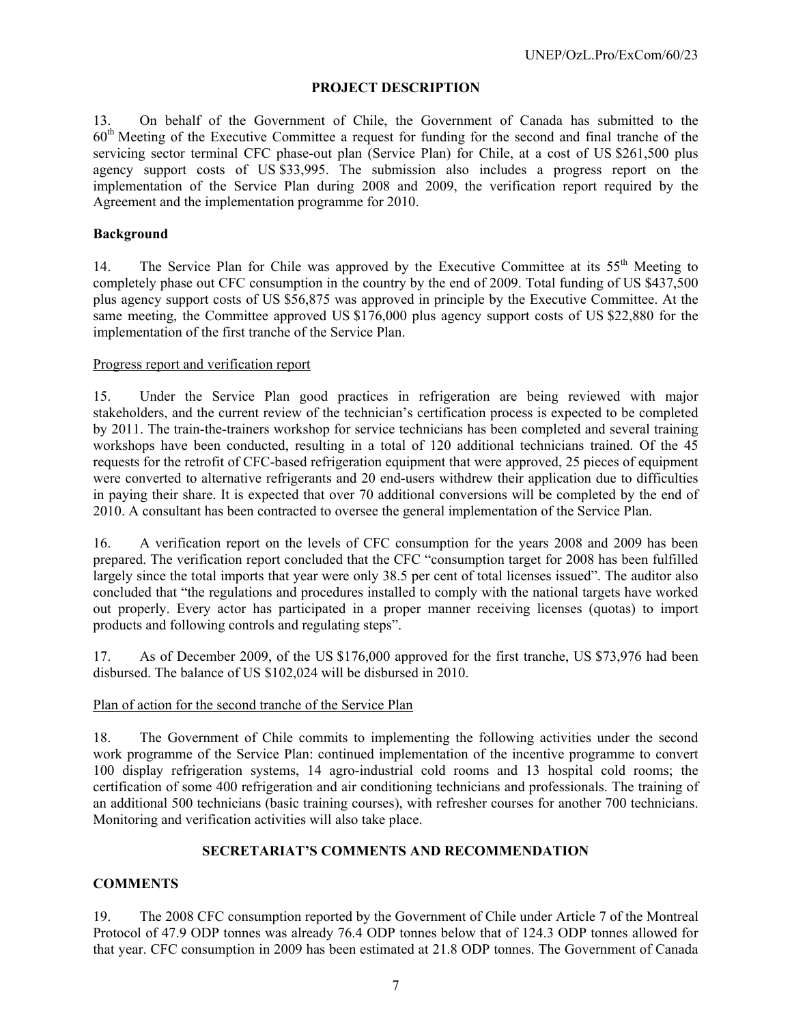### **PROJECT DESCRIPTION**

13. On behalf of the Government of Chile, the Government of Canada has submitted to the  $60<sup>th</sup>$  Meeting of the Executive Committee a request for funding for the second and final tranche of the servicing sector terminal CFC phase-out plan (Service Plan) for Chile, at a cost of US \$261,500 plus agency support costs of US \$33,995. The submission also includes a progress report on the implementation of the Service Plan during 2008 and 2009, the verification report required by the Agreement and the implementation programme for 2010.

### **Background**

14. The Service Plan for Chile was approved by the Executive Committee at its 55<sup>th</sup> Meeting to completely phase out CFC consumption in the country by the end of 2009. Total funding of US \$437,500 plus agency support costs of US \$56,875 was approved in principle by the Executive Committee. At the same meeting, the Committee approved US \$176,000 plus agency support costs of US \$22,880 for the implementation of the first tranche of the Service Plan.

#### Progress report and verification report

15. Under the Service Plan good practices in refrigeration are being reviewed with major stakeholders, and the current review of the technician's certification process is expected to be completed by 2011. The train-the-trainers workshop for service technicians has been completed and several training workshops have been conducted, resulting in a total of 120 additional technicians trained. Of the 45 requests for the retrofit of CFC-based refrigeration equipment that were approved, 25 pieces of equipment were converted to alternative refrigerants and 20 end-users withdrew their application due to difficulties in paying their share. It is expected that over 70 additional conversions will be completed by the end of 2010. A consultant has been contracted to oversee the general implementation of the Service Plan.

16. A verification report on the levels of CFC consumption for the years 2008 and 2009 has been prepared. The verification report concluded that the CFC "consumption target for 2008 has been fulfilled largely since the total imports that year were only 38.5 per cent of total licenses issued". The auditor also concluded that "the regulations and procedures installed to comply with the national targets have worked out properly. Every actor has participated in a proper manner receiving licenses (quotas) to import products and following controls and regulating steps".

17. As of December 2009, of the US \$176,000 approved for the first tranche, US \$73,976 had been disbursed. The balance of US \$102,024 will be disbursed in 2010.

#### Plan of action for the second tranche of the Service Plan

18. The Government of Chile commits to implementing the following activities under the second work programme of the Service Plan: continued implementation of the incentive programme to convert 100 display refrigeration systems, 14 agro-industrial cold rooms and 13 hospital cold rooms; the certification of some 400 refrigeration and air conditioning technicians and professionals. The training of an additional 500 technicians (basic training courses), with refresher courses for another 700 technicians. Monitoring and verification activities will also take place.

#### **SECRETARIAT'S COMMENTS AND RECOMMENDATION**

# **COMMENTS**

19. The 2008 CFC consumption reported by the Government of Chile under Article 7 of the Montreal Protocol of 47.9 ODP tonnes was already 76.4 ODP tonnes below that of 124.3 ODP tonnes allowed for that year. CFC consumption in 2009 has been estimated at 21.8 ODP tonnes. The Government of Canada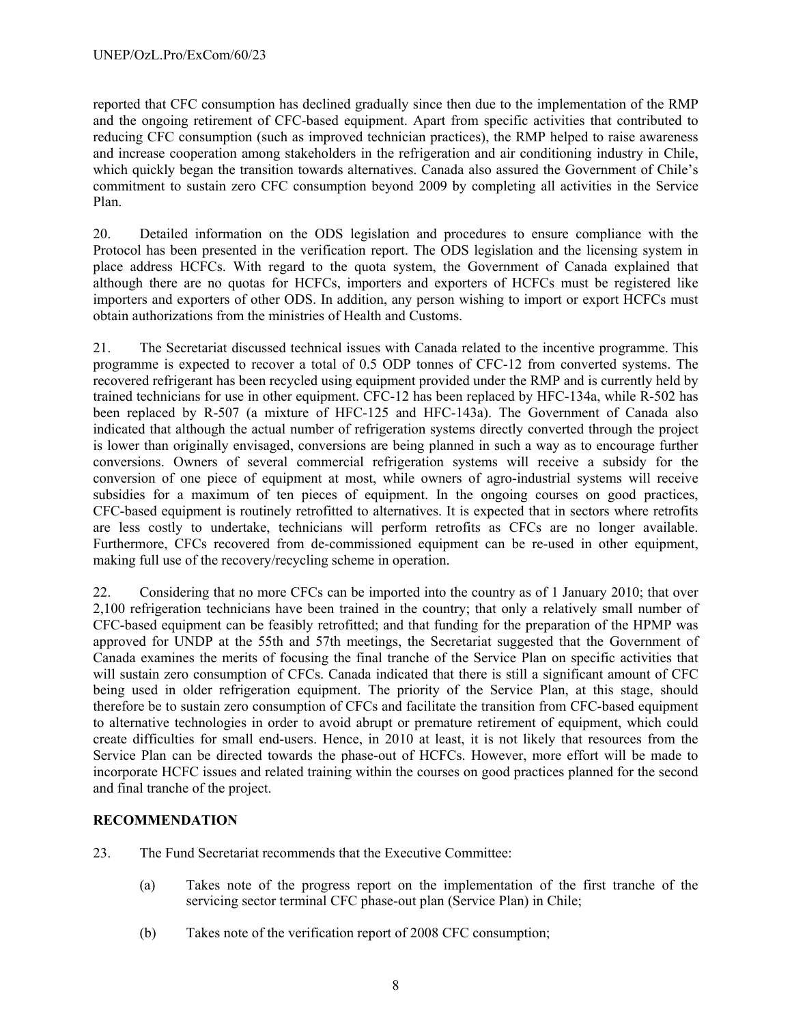reported that CFC consumption has declined gradually since then due to the implementation of the RMP and the ongoing retirement of CFC-based equipment. Apart from specific activities that contributed to reducing CFC consumption (such as improved technician practices), the RMP helped to raise awareness and increase cooperation among stakeholders in the refrigeration and air conditioning industry in Chile, which quickly began the transition towards alternatives. Canada also assured the Government of Chile's commitment to sustain zero CFC consumption beyond 2009 by completing all activities in the Service Plan.

20. Detailed information on the ODS legislation and procedures to ensure compliance with the Protocol has been presented in the verification report. The ODS legislation and the licensing system in place address HCFCs. With regard to the quota system, the Government of Canada explained that although there are no quotas for HCFCs, importers and exporters of HCFCs must be registered like importers and exporters of other ODS. In addition, any person wishing to import or export HCFCs must obtain authorizations from the ministries of Health and Customs.

21. The Secretariat discussed technical issues with Canada related to the incentive programme. This programme is expected to recover a total of 0.5 ODP tonnes of CFC-12 from converted systems. The recovered refrigerant has been recycled using equipment provided under the RMP and is currently held by trained technicians for use in other equipment. CFC-12 has been replaced by HFC-134a, while R-502 has been replaced by R-507 (a mixture of HFC-125 and HFC-143a). The Government of Canada also indicated that although the actual number of refrigeration systems directly converted through the project is lower than originally envisaged, conversions are being planned in such a way as to encourage further conversions. Owners of several commercial refrigeration systems will receive a subsidy for the conversion of one piece of equipment at most, while owners of agro-industrial systems will receive subsidies for a maximum of ten pieces of equipment. In the ongoing courses on good practices, CFC-based equipment is routinely retrofitted to alternatives. It is expected that in sectors where retrofits are less costly to undertake, technicians will perform retrofits as CFCs are no longer available. Furthermore, CFCs recovered from de-commissioned equipment can be re-used in other equipment, making full use of the recovery/recycling scheme in operation.

22. Considering that no more CFCs can be imported into the country as of 1 January 2010; that over 2,100 refrigeration technicians have been trained in the country; that only a relatively small number of CFC-based equipment can be feasibly retrofitted; and that funding for the preparation of the HPMP was approved for UNDP at the 55th and 57th meetings, the Secretariat suggested that the Government of Canada examines the merits of focusing the final tranche of the Service Plan on specific activities that will sustain zero consumption of CFCs. Canada indicated that there is still a significant amount of CFC being used in older refrigeration equipment. The priority of the Service Plan, at this stage, should therefore be to sustain zero consumption of CFCs and facilitate the transition from CFC-based equipment to alternative technologies in order to avoid abrupt or premature retirement of equipment, which could create difficulties for small end-users. Hence, in 2010 at least, it is not likely that resources from the Service Plan can be directed towards the phase-out of HCFCs. However, more effort will be made to incorporate HCFC issues and related training within the courses on good practices planned for the second and final tranche of the project.

# **RECOMMENDATION**

- 23. The Fund Secretariat recommends that the Executive Committee:
	- (a) Takes note of the progress report on the implementation of the first tranche of the servicing sector terminal CFC phase-out plan (Service Plan) in Chile;
	- (b) Takes note of the verification report of 2008 CFC consumption;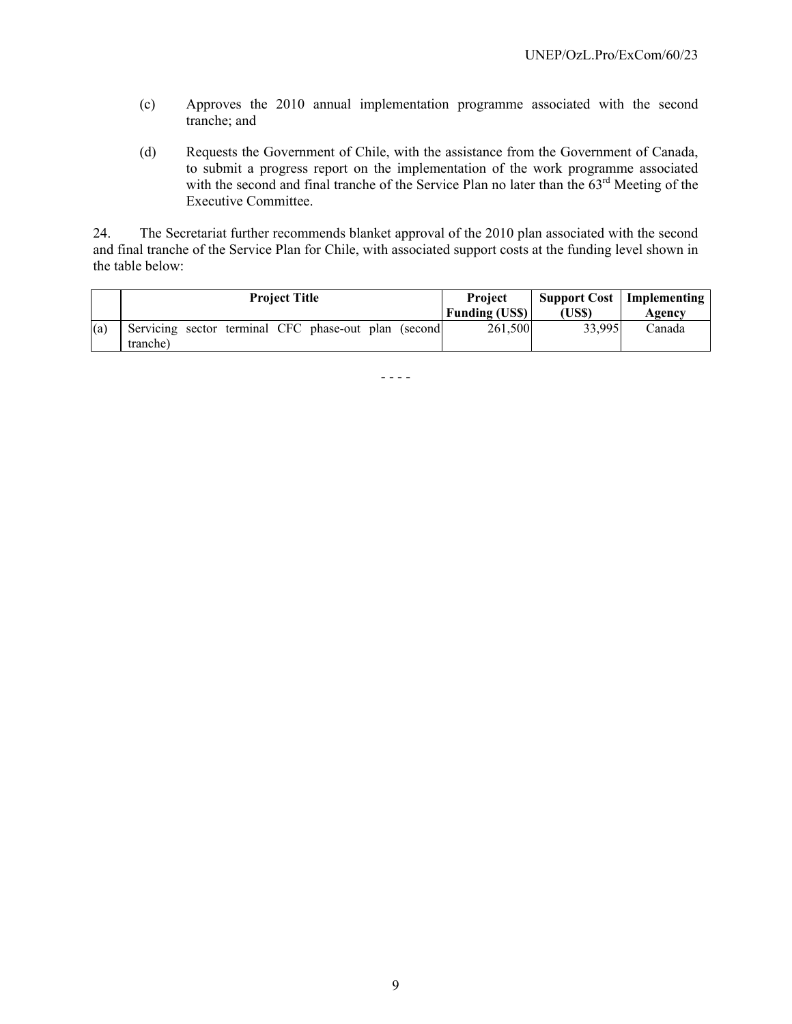- (c) Approves the 2010 annual implementation programme associated with the second tranche; and
- (d) Requests the Government of Chile, with the assistance from the Government of Canada, to submit a progress report on the implementation of the work programme associated with the second and final tranche of the Service Plan no later than the 63<sup>rd</sup> Meeting of the Executive Committee.

24. The Secretariat further recommends blanket approval of the 2010 plan associated with the second and final tranche of the Service Plan for Chile, with associated support costs at the funding level shown in the table below:

|     | <b>Project Title</b>                                              | Project<br><b>Funding (USS)</b> | (US\$) | <b>Support Cost</b>   Implementing<br>Agencv |
|-----|-------------------------------------------------------------------|---------------------------------|--------|----------------------------------------------|
| (a) | Servicing sector terminal CFC phase-out plan (second)<br>tranche) | 261.500                         | 33,995 | Canada                                       |

- - - -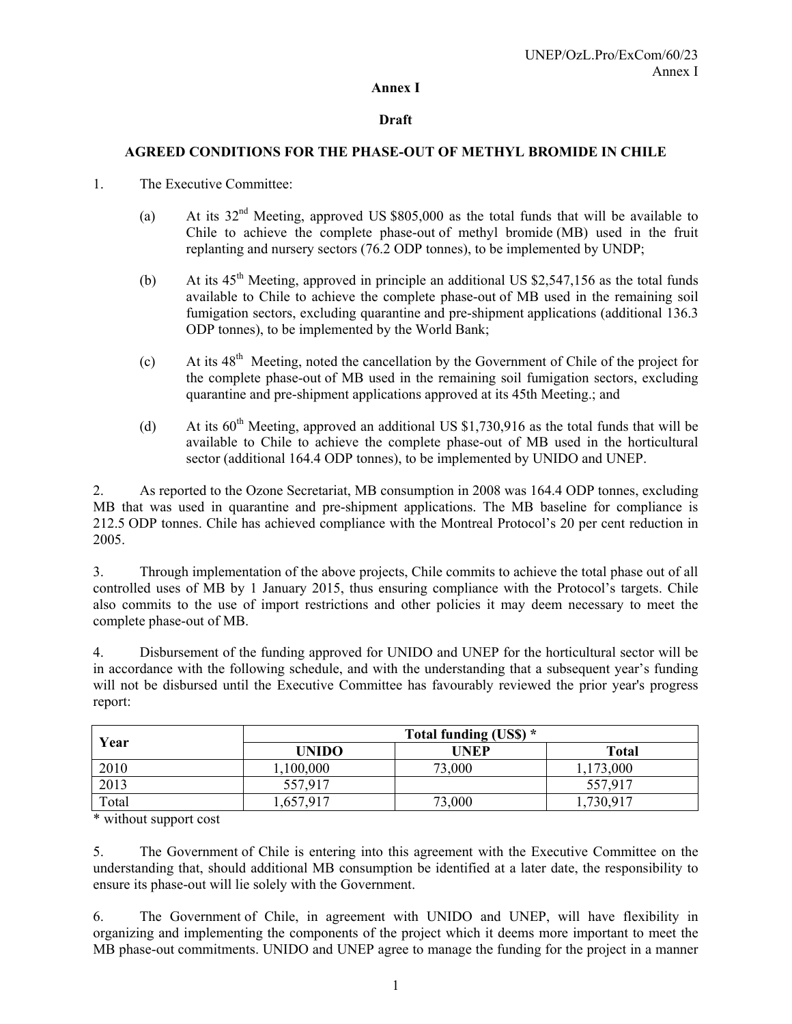#### **Annex I**

#### **Draft**

#### **AGREED CONDITIONS FOR THE PHASE-OUT OF METHYL BROMIDE IN CHILE**

- 1. The Executive Committee:
	- (a) At its  $32<sup>nd</sup>$  Meeting, approved US \$805,000 as the total funds that will be available to Chile to achieve the complete phase-out of methyl bromide (MB) used in the fruit replanting and nursery sectors (76.2 ODP tonnes), to be implemented by UNDP;
	- (b) At its  $45<sup>th</sup>$  Meeting, approved in principle an additional US \$2,547,156 as the total funds available to Chile to achieve the complete phase-out of MB used in the remaining soil fumigation sectors, excluding quarantine and pre-shipment applications (additional 136.3 ODP tonnes), to be implemented by the World Bank;
	- (c) At its  $48<sup>th</sup>$  Meeting, noted the cancellation by the Government of Chile of the project for the complete phase-out of MB used in the remaining soil fumigation sectors, excluding quarantine and pre-shipment applications approved at its 45th Meeting.; and
	- (d) At its  $60<sup>th</sup>$  Meeting, approved an additional US \$1,730,916 as the total funds that will be available to Chile to achieve the complete phase-out of MB used in the horticultural sector (additional 164.4 ODP tonnes), to be implemented by UNIDO and UNEP.

2. As reported to the Ozone Secretariat, MB consumption in 2008 was 164.4 ODP tonnes, excluding MB that was used in quarantine and pre-shipment applications. The MB baseline for compliance is 212.5 ODP tonnes. Chile has achieved compliance with the Montreal Protocol's 20 per cent reduction in 2005.

3. Through implementation of the above projects, Chile commits to achieve the total phase out of all controlled uses of MB by 1 January 2015, thus ensuring compliance with the Protocol's targets. Chile also commits to the use of import restrictions and other policies it may deem necessary to meet the complete phase-out of MB.

4. Disbursement of the funding approved for UNIDO and UNEP for the horticultural sector will be in accordance with the following schedule, and with the understanding that a subsequent year's funding will not be disbursed until the Executive Committee has favourably reviewed the prior year's progress report:

|       |              | Total funding (US\$) * |              |  |  |
|-------|--------------|------------------------|--------------|--|--|
| Year  | <b>UNIDO</b> | UNEP                   | <b>Total</b> |  |  |
| 2010  | ,100,000     | 73,000                 | 1,173,000    |  |  |
| 2013  | 557,917      |                        | 557,917      |  |  |
| Total | ,657,917     | 73,000                 | ,730,917     |  |  |

\* without support cost

5. The Government of Chile is entering into this agreement with the Executive Committee on the understanding that, should additional MB consumption be identified at a later date, the responsibility to ensure its phase-out will lie solely with the Government.

6. The Government of Chile, in agreement with UNIDO and UNEP, will have flexibility in organizing and implementing the components of the project which it deems more important to meet the MB phase-out commitments. UNIDO and UNEP agree to manage the funding for the project in a manner